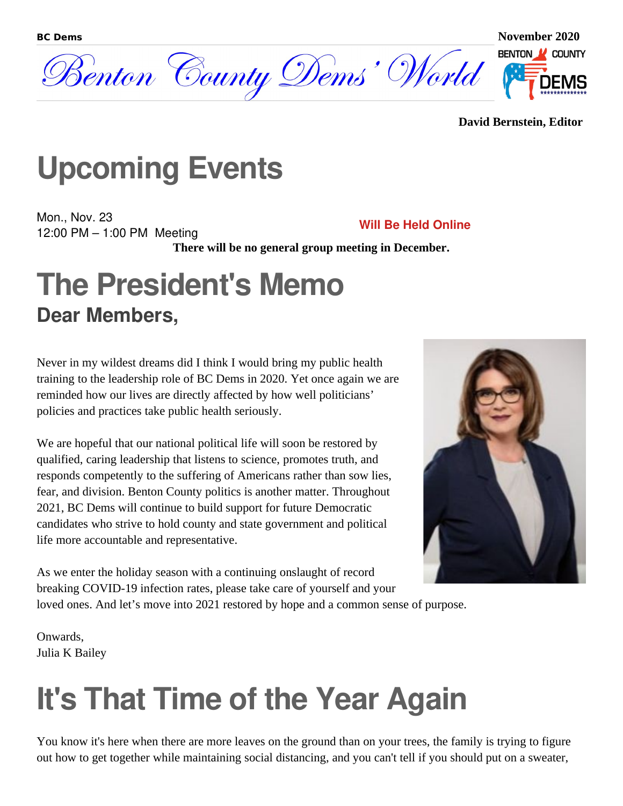

#### **David Bernstein, Editor**

## **Upcoming Events**

Mon., Nov. 23 12:00 PM – 1:00 PM Meeting **Will Be Held Online**

**There will be no general group meeting in December.**

### **The President's Memo Dear Members,**

Never in my wildest dreams did I think I would bring my public health training to the leadership role of BC Dems in 2020. Yet once again we are reminded how our lives are directly affected by how well politicians' policies and practices take public health seriously.

We are hopeful that our national political life will soon be restored by qualified, caring leadership that listens to science, promotes truth, and responds competently to the suffering of Americans rather than sow lies, fear, and division. Benton County politics is another matter. Throughout 2021, BC Dems will continue to build support for future Democratic candidates who strive to hold county and state government and political life more accountable and representative.



As we enter the holiday season with a continuing onslaught of record breaking COVID-19 infection rates, please take care of yourself and your

loved ones. And let's move into 2021 restored by hope and a common sense of purpose.

Onwards, Julia K Bailey

## **It's That Time of the Year Again**

You know it's here when there are more leaves on the ground than on your trees, the family is trying to figure out how to get together while maintaining social distancing, and you can't tell if you should put on a sweater,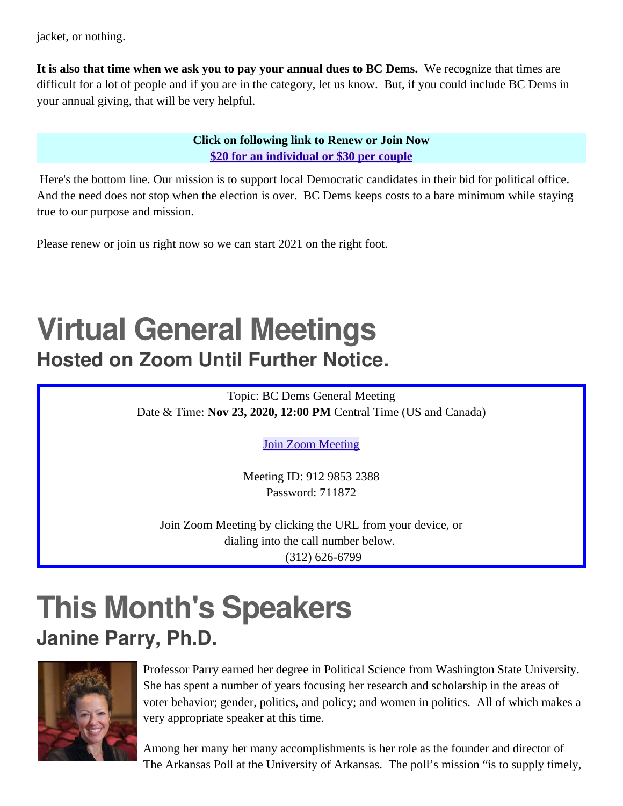jacket, or nothing.

**It is also that time when we ask you to pay your annual dues to BC Dems.** We recognize that times are difficult for a lot of people and if you are in the category, let us know. But, if you could include BC Dems in your annual giving, that will be very helpful.

#### **Click on following link to Renew or Join Now [\\$20 for an individual or \\$30 per couple](https://www.bcdems.org/membership.html)**

 Here's the bottom line. Our mission is to support local Democratic candidates in their bid for political office. And the need does not stop when the election is over. BC Dems keeps costs to a bare minimum while staying true to our purpose and mission.

Please renew or join us right now so we can start 2021 on the right foot.

## **Virtual General Meetings Hosted on Zoom Until Further Notice.**

Topic: BC Dems General Meeting Date & Time: **Nov 23, 2020, 12:00 PM** Central Time (US and Canada)

[Join Zoom Meeting](https://score.zoom.us/j/91298532388?pwd=WE14ZWJYM2c4a0dITVYwSHRvTEhhUT09)

Meeting ID: 912 9853 2388 Password: 711872

Join Zoom Meeting by clicking the URL from your device, or dialing into the call number below. (312) 626-6799

## **This Month's Speakers Janine Parry, Ph.D.**



Professor Parry earned her degree in Political Science from Washington State University. She has spent a number of years focusing her research and scholarship in the areas of voter behavior; gender, politics, and policy; and women in politics. All of which makes a very appropriate speaker at this time.

Among her many her many accomplishments is her role as the founder and director of The Arkansas Poll at the University of Arkansas. The poll's mission "is to supply timely,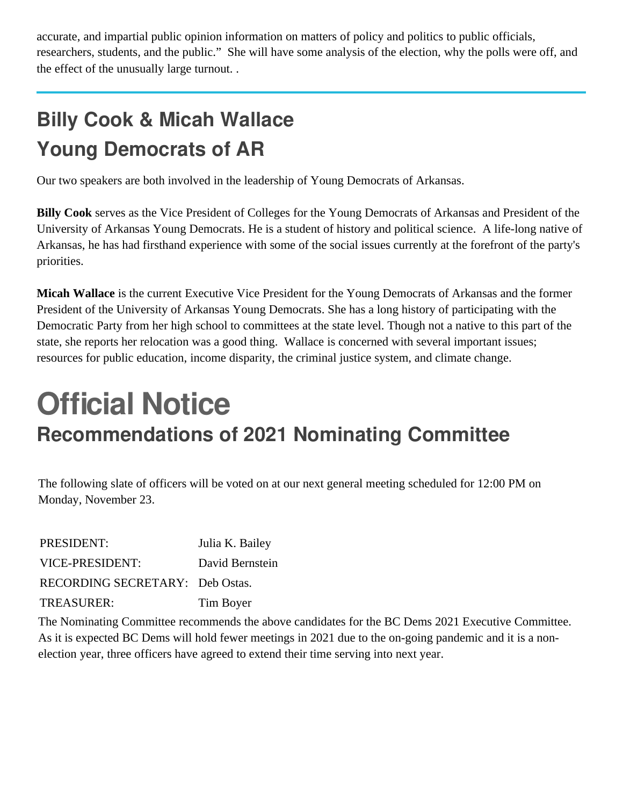accurate, and impartial public opinion information on matters of policy and politics to public officials, researchers, students, and the public." She will have some analysis of the election, why the polls were off, and the effect of the unusually large turnout. .

### **Billy Cook & Micah Wallace Young Democrats of AR**

Our two speakers are both involved in the leadership of Young Democrats of Arkansas.

**Billy Cook** serves as the Vice President of Colleges for the Young Democrats of Arkansas and President of the University of Arkansas Young Democrats. He is a student of history and political science. A life-long native of Arkansas, he has had firsthand experience with some of the social issues currently at the forefront of the party's priorities.

**Micah Wallace** is the current Executive Vice President for the Young Democrats of Arkansas and the former President of the University of Arkansas Young Democrats. She has a long history of participating with the Democratic Party from her high school to committees at the state level. Though not a native to this part of the state, she reports her relocation was a good thing. Wallace is concerned with several important issues; resources for public education, income disparity, the criminal justice system, and climate change.

## **Official Notice Recommendations of 2021 Nominating Committee**

The following slate of officers will be voted on at our next general meeting scheduled for 12:00 PM on Monday, November 23.

| PRESIDENT:                      | Julia K. Bailey |
|---------------------------------|-----------------|
| VICE-PRESIDENT:                 | David Bernstein |
| RECORDING SECRETARY: Deb Ostas. |                 |
| <b>TREASURER:</b>               | Tim Boyer       |

The Nominating Committee recommends the above candidates for the BC Dems 2021 Executive Committee. As it is expected BC Dems will hold fewer meetings in 2021 due to the on-going pandemic and it is a nonelection year, three officers have agreed to extend their time serving into next year.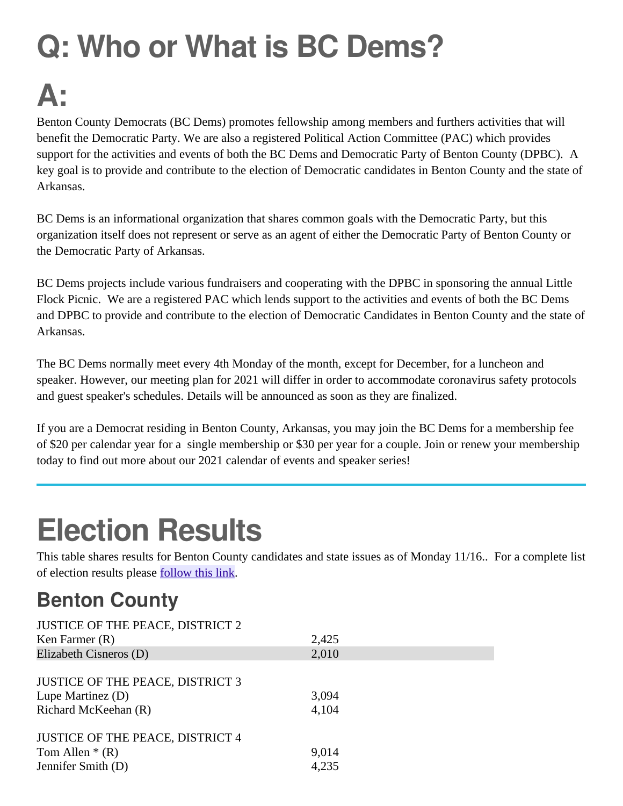# **Q: Who or What is BC Dems?**

## **A:**

Benton County Democrats (BC Dems) promotes fellowship among members and furthers activities that will benefit the Democratic Party. We are also a registered Political Action Committee (PAC) which provides support for the activities and events of both the BC Dems and Democratic Party of Benton County (DPBC). A key goal is to provide and contribute to the election of Democratic candidates in Benton County and the state of Arkansas.

BC Dems is an informational organization that shares common goals with the Democratic Party, but this organization itself does not represent or serve as an agent of either the Democratic Party of Benton County or the Democratic Party of Arkansas.

BC Dems projects include various fundraisers and cooperating with the DPBC in sponsoring the annual Little Flock Picnic. We are a registered PAC which lends support to the activities and events of both the BC Dems and DPBC to provide and contribute to the election of Democratic Candidates in Benton County and the state of Arkansas.

The BC Dems normally meet every 4th Monday of the month, except for December, for a luncheon and speaker. However, our meeting plan for 2021 will differ in order to accommodate coronavirus safety protocols and guest speaker's schedules. Details will be announced as soon as they are finalized.

If you are a Democrat residing in Benton County, Arkansas, you may join the BC Dems for a membership fee of \$20 per calendar year for a single membership or \$30 per year for a couple. Join or renew your membership today to find out more about our 2021 calendar of events and speaker series!

## **Election Results**

This table shares results for Benton County candidates and state issues as of Monday 11/16.. For a complete list of election results please [follow this link.](https://www.nwahomepage.com/election/your-local-election/arkansas-oklahoma-election-results/)

#### **Benton County**

| <b>JUSTICE OF THE PEACE, DISTRICT 2</b>                                              |                |
|--------------------------------------------------------------------------------------|----------------|
| Ken Farmer (R)                                                                       | 2,425          |
| Elizabeth Cisneros (D)                                                               | 2,010          |
| <b>JUSTICE OF THE PEACE, DISTRICT 3</b><br>Lupe Martinez (D)<br>Richard McKeehan (R) | 3,094<br>4,104 |
| <b>JUSTICE OF THE PEACE, DISTRICT 4</b>                                              |                |
| Tom Allen $*(R)$                                                                     | 9,014          |
| Jennifer Smith (D)                                                                   | 4,235          |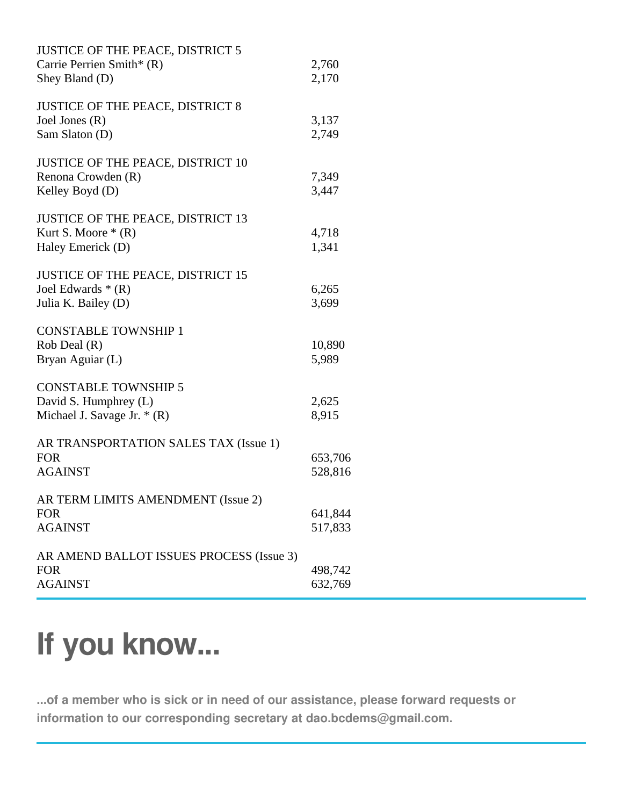| <b>JUSTICE OF THE PEACE, DISTRICT 5</b><br>Carrie Perrien Smith* (R)<br>Shey Bland (D) | 2,760<br>2,170     |
|----------------------------------------------------------------------------------------|--------------------|
| <b>JUSTICE OF THE PEACE, DISTRICT 8</b><br>Joel Jones (R)<br>Sam Slaton (D)            | 3,137<br>2,749     |
| <b>JUSTICE OF THE PEACE, DISTRICT 10</b><br>Renona Crowden (R)<br>Kelley Boyd (D)      | 7,349<br>3,447     |
| <b>JUSTICE OF THE PEACE, DISTRICT 13</b><br>Kurt S. Moore $*(R)$<br>Haley Emerick (D)  | 4,718<br>1,341     |
| <b>JUSTICE OF THE PEACE, DISTRICT 15</b><br>Joel Edwards * (R)<br>Julia K. Bailey (D)  | 6,265<br>3,699     |
| <b>CONSTABLE TOWNSHIP 1</b><br>Rob Deal (R)<br>Bryan Aguiar (L)                        | 10,890<br>5,989    |
| <b>CONSTABLE TOWNSHIP 5</b><br>David S. Humphrey (L)<br>Michael J. Savage Jr. $*(R)$   | 2,625<br>8,915     |
| AR TRANSPORTATION SALES TAX (Issue 1)<br><b>FOR</b><br><b>AGAINST</b>                  | 653,706<br>528,816 |
| AR TERM LIMITS AMENDMENT (Issue 2)<br><b>FOR</b><br><b>AGAINST</b>                     | 641,844<br>517,833 |
| AR AMEND BALLOT ISSUES PROCESS (Issue 3)<br><b>FOR</b><br><b>AGAINST</b>               | 498,742<br>632,769 |

## **If you know...**

**...of a member who is sick or in need of our assistance, please forward requests or information to our corresponding secretary at dao.bcdems@gmail.com.**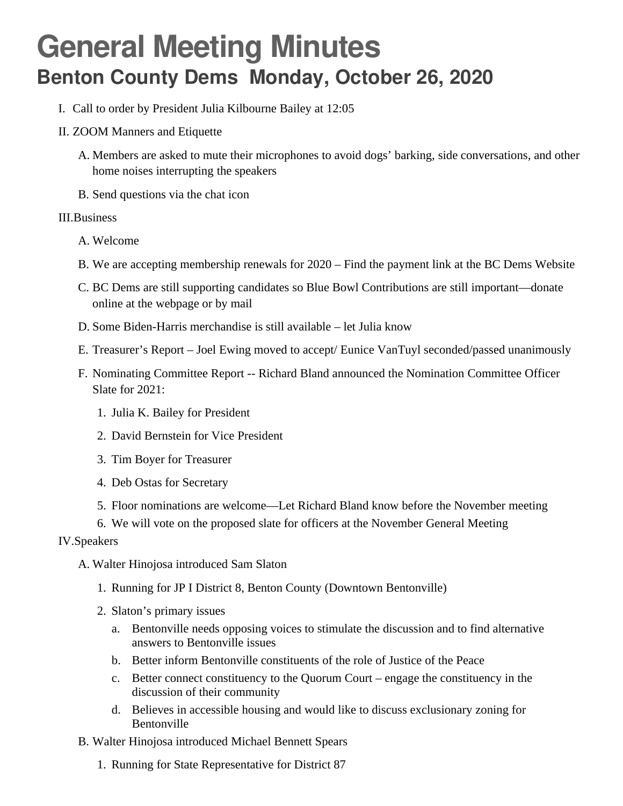### **General Meeting Minutes Benton County Dems Monday, October 26, 2020**

- I. Call to order by President Julia Kilbourne Bailey at 12:05
- II. ZOOM Manners and Etiquette
	- A. Members are asked to mute their microphones to avoid dogs' barking, side conversations, and other home noises interrupting the speakers
	- B. Send questions via the chat icon

#### III.Business

- A. Welcome
- B. We are accepting membership renewals for 2020 Find the payment link at the BC Dems Website
- C. BC Dems are still supporting candidates so Blue Bowl Contributions are still important—donate online at the webpage or by mail
- D. Some Biden-Harris merchandise is still available let Julia know
- E. Treasurer's Report Joel Ewing moved to accept/ Eunice VanTuyl seconded/passed unanimously
- F. Nominating Committee Report -- Richard Bland announced the Nomination Committee Officer Slate for 2021:
	- 1. Julia K. Bailey for President
	- 2. David Bernstein for Vice President
	- 3. Tim Boyer for Treasurer
	- 4. Deb Ostas for Secretary
	- 5. Floor nominations are welcome—Let Richard Bland know before the November meeting
	- 6. We will vote on the proposed slate for officers at the November General Meeting

#### IV.Speakers

- A. Walter Hinojosa introduced Sam Slaton
	- 1. Running for JP I District 8, Benton County (Downtown Bentonville)
	- 2. Slaton's primary issues
		- a. Bentonville needs opposing voices to stimulate the discussion and to find alternative answers to Bentonville issues
		- b. Better inform Bentonville constituents of the role of Justice of the Peace
		- c. Better connect constituency to the Quorum Court engage the constituency in the discussion of their community
		- d. Believes in accessible housing and would like to discuss exclusionary zoning for Bentonville
- B. Walter Hinojosa introduced Michael Bennett Spears
	- 1. Running for State Representative for District 87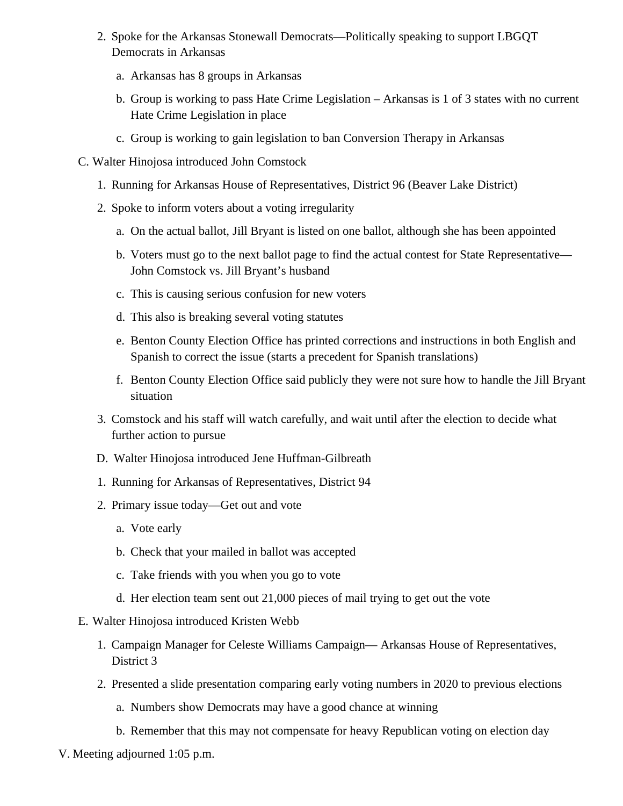- 2. Spoke for the Arkansas Stonewall Democrats—Politically speaking to support LBGQT Democrats in Arkansas
	- a. Arkansas has 8 groups in Arkansas
	- b. Group is working to pass Hate Crime Legislation Arkansas is 1 of 3 states with no current Hate Crime Legislation in place
	- c. Group is working to gain legislation to ban Conversion Therapy in Arkansas
- C. Walter Hinojosa introduced John Comstock
	- 1. Running for Arkansas House of Representatives, District 96 (Beaver Lake District)
	- 2. Spoke to inform voters about a voting irregularity
		- a. On the actual ballot, Jill Bryant is listed on one ballot, although she has been appointed
		- b. Voters must go to the next ballot page to find the actual contest for State Representative— John Comstock vs. Jill Bryant's husband
		- c. This is causing serious confusion for new voters
		- d. This also is breaking several voting statutes
		- e. Benton County Election Office has printed corrections and instructions in both English and Spanish to correct the issue (starts a precedent for Spanish translations)
		- f. Benton County Election Office said publicly they were not sure how to handle the Jill Bryant situation
	- 3. Comstock and his staff will watch carefully, and wait until after the election to decide what further action to pursue
	- D. Walter Hinojosa introduced Jene Huffman-Gilbreath
	- 1. Running for Arkansas of Representatives, District 94
	- 2. Primary issue today—Get out and vote
		- a. Vote early
		- b. Check that your mailed in ballot was accepted
		- c. Take friends with you when you go to vote
		- d. Her election team sent out 21,000 pieces of mail trying to get out the vote
- E. Walter Hinojosa introduced Kristen Webb
	- 1. Campaign Manager for Celeste Williams Campaign— Arkansas House of Representatives, District 3
	- 2. Presented a slide presentation comparing early voting numbers in 2020 to previous elections
		- a. Numbers show Democrats may have a good chance at winning
		- b. Remember that this may not compensate for heavy Republican voting on election day
- V. Meeting adjourned 1:05 p.m.